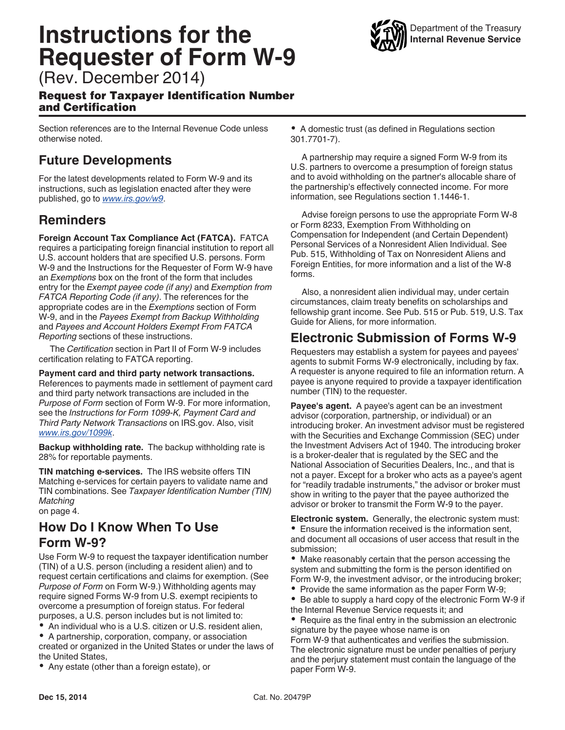# **Instructions for the Requester of Form W-9**



(Rev. December 2014)

#### Request for Taxpayer Identification Number and Certification

Section references are to the Internal Revenue Code unless otherwise noted.

## **Future Developments**

For the latest developments related to Form W-9 and its instructions, such as legislation enacted after they were published, go to *[www.irs.gov/w9](http://www.irs.gov/w9)*.

### **Reminders**

**Foreign Account Tax Compliance Act (FATCA).** FATCA requires a participating foreign financial institution to report all U.S. account holders that are specified U.S. persons. Form W-9 and the Instructions for the Requester of Form W-9 have an *Exemptions* box on the front of the form that includes entry for the *Exempt payee code (if any)* and *Exemption from FATCA Reporting Code (if any)*. The references for the appropriate codes are in the *Exemptions* section of Form W-9, and in the *Payees Exempt from Backup Withholding*  and *Payees and Account Holders Exempt From FATCA Reporting* sections of these instructions.

The *Certification* section in Part II of Form W-9 includes certification relating to FATCA reporting.

**Payment card and third party network transactions.**  References to payments made in settlement of payment card and third party network transactions are included in the *Purpose of Form* section of Form W-9. For more information, see the *Instructions for Form 1099-K, Payment Card and Third Party Network Transactions* on IRS.gov. Also, visit *[www.irs.gov/1099k](http://www.irs.gov/form1099k)*.

**Backup withholding rate.** The backup withholding rate is 28% for reportable payments.

**TIN matching e-services.** The IRS website offers TIN Matching e-services for certain payers to validate name and TIN combinations. See *Taxpayer Identification Number (TIN) Matching*  on page 4.

**How Do I Know When To Use Form W-9?**

Use Form W-9 to request the taxpayer identification number (TIN) of a U.S. person (including a resident alien) and to request certain certifications and claims for exemption. (See *Purpose of Form* on Form W-9.) Withholding agents may require signed Forms W-9 from U.S. exempt recipients to overcome a presumption of foreign status. For federal purposes, a U.S. person includes but is not limited to:

An individual who is a U.S. citizen or U.S. resident alien,

A partnership, corporation, company, or association created or organized in the United States or under the laws of the United States,

Any estate (other than a foreign estate), or

A domestic trust (as defined in Regulations section 301.7701-7).

A partnership may require a signed Form W-9 from its U.S. partners to overcome a presumption of foreign status and to avoid withholding on the partner's allocable share of the partnership's effectively connected income. For more information, see Regulations section 1.1446-1.

Advise foreign persons to use the appropriate Form W-8 or Form 8233, Exemption From Withholding on Compensation for Independent (and Certain Dependent) Personal Services of a Nonresident Alien Individual. See Pub. 515, Withholding of Tax on Nonresident Aliens and Foreign Entities, for more information and a list of the W-8 forms.

Also, a nonresident alien individual may, under certain circumstances, claim treaty benefits on scholarships and fellowship grant income. See Pub. 515 or Pub. 519, U.S. Tax Guide for Aliens, for more information.

### **Electronic Submission of Forms W-9**

Requesters may establish a system for payees and payees' agents to submit Forms W-9 electronically, including by fax. A requester is anyone required to file an information return. A payee is anyone required to provide a taxpayer identification number (TIN) to the requester.

**Payee's agent.** A payee's agent can be an investment advisor (corporation, partnership, or individual) or an introducing broker. An investment advisor must be registered with the Securities and Exchange Commission (SEC) under the Investment Advisers Act of 1940. The introducing broker is a broker-dealer that is regulated by the SEC and the National Association of Securities Dealers, Inc., and that is not a payer. Except for a broker who acts as a payee's agent for "readily tradable instruments," the advisor or broker must show in writing to the payer that the payee authorized the advisor or broker to transmit the Form W-9 to the payer.

**Electronic system.** Generally, the electronic system must: Ensure the information received is the information sent, and document all occasions of user access that result in the submission;

Make reasonably certain that the person accessing the system and submitting the form is the person identified on Form W-9, the investment advisor, or the introducing broker;

- Provide the same information as the paper Form W-9;
- $\bullet$ Be able to supply a hard copy of the electronic Form W-9 if the Internal Revenue Service requests it; and

• Require as the final entry in the submission an electronic signature by the payee whose name is on

Form W-9 that authenticates and verifies the submission. The electronic signature must be under penalties of perjury and the perjury statement must contain the language of the paper Form W-9.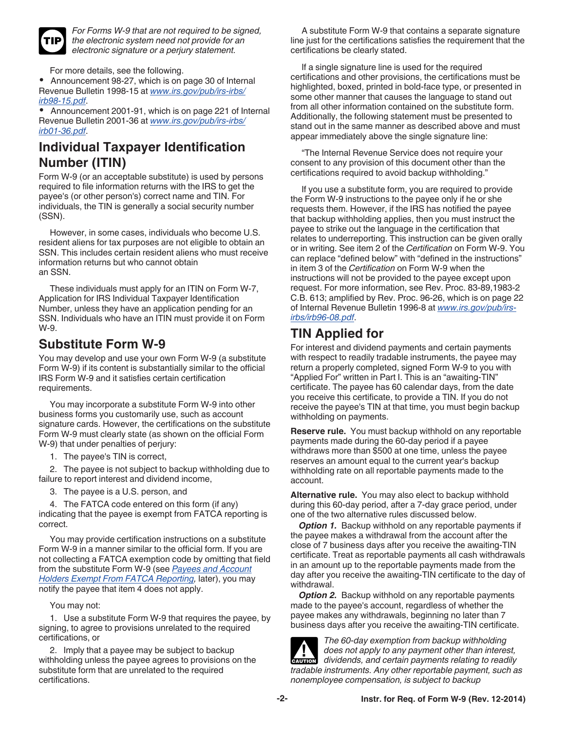

*For Forms W-9 that are not required to be signed, the electronic system need not provide for an electronic signature or a perjury statement.*

For more details, see the following.

 Announcement 98-27, which is on page 30 of Internal Revenue Bulletin 1998-15 at *[www.irs.gov/pub/irs-irbs/](http://www.irs.gov/pub/irs-irbs/irb98-15.pdf) [irb98-15.pdf](http://www.irs.gov/pub/irs-irbs/irb98-15.pdf)*.

 Announcement 2001-91, which is on page 221 of Internal Revenue Bulletin 2001-36 at *[www.irs.gov/pub/irs-irbs/](http://www.irs.gov/pub/irs-irbs/irb01-36.pdf) [irb01-36.pdf](http://www.irs.gov/pub/irs-irbs/irb01-36.pdf)*.

### **Individual Taxpayer Identification Number (ITIN)**

Form W-9 (or an acceptable substitute) is used by persons required to file information returns with the IRS to get the payee's (or other person's) correct name and TIN. For individuals, the TIN is generally a social security number (SSN).

However, in some cases, individuals who become U.S. resident aliens for tax purposes are not eligible to obtain an SSN. This includes certain resident aliens who must receive information returns but who cannot obtain an SSN.

These individuals must apply for an ITIN on Form W-7, Application for IRS Individual Taxpayer Identification Number, unless they have an application pending for an SSN. Individuals who have an ITIN must provide it on Form W-9.

### **Substitute Form W-9**

You may develop and use your own Form W-9 (a substitute Form W-9) if its content is substantially similar to the official IRS Form W-9 and it satisfies certain certification requirements.

You may incorporate a substitute Form W-9 into other business forms you customarily use, such as account signature cards. However, the certifications on the substitute Form W-9 must clearly state (as shown on the official Form W-9) that under penalties of perjury:

1. The payee's TIN is correct,

2. The payee is not subject to backup withholding due to failure to report interest and dividend income,

3. The payee is a U.S. person, and

4. The FATCA code entered on this form (if any) indicating that the payee is exempt from FATCA reporting is correct.

You may provide certification instructions on a substitute Form W-9 in a manner similar to the official form. If you are not collecting a FATCA exemption code by omitting that field from the substitute Form W-9 (see *[Payees and Account](#page-3-0)  [Holders Exempt From FATCA Reporting](#page-3-0),* later), you may notify the payee that item 4 does not apply.

You may not:

1. Use a substitute Form W-9 that requires the payee, by signing, to agree to provisions unrelated to the required certifications, or

2. Imply that a payee may be subject to backup withholding unless the payee agrees to provisions on the substitute form that are unrelated to the required certifications.

A substitute Form W-9 that contains a separate signature line just for the certifications satisfies the requirement that the certifications be clearly stated.

If a single signature line is used for the required certifications and other provisions, the certifications must be highlighted, boxed, printed in bold-face type, or presented in some other manner that causes the language to stand out from all other information contained on the substitute form. Additionally, the following statement must be presented to stand out in the same manner as described above and must appear immediately above the single signature line:

"The Internal Revenue Service does not require your consent to any provision of this document other than the certifications required to avoid backup withholding."

If you use a substitute form, you are required to provide the Form W-9 instructions to the payee only if he or she requests them. However, if the IRS has notified the payee that backup withholding applies, then you must instruct the payee to strike out the language in the certification that relates to underreporting. This instruction can be given orally or in writing. See item 2 of the *Certification* on Form W-9. You can replace "defined below" with "defined in the instructions" in item 3 of the *Certification* on Form W-9 when the instructions will not be provided to the payee except upon request. For more information, see Rev. Proc. 83-89,1983-2 C.B. 613; amplified by Rev. Proc. 96-26, which is on page 22 of Internal Revenue Bulletin 1996-8 at *[www.irs.gov/pub/irs](http://www.irs.gov/pub/irs-irbs/irb96-08.pdf)[irbs/irb96-08.pdf](http://www.irs.gov/pub/irs-irbs/irb96-08.pdf)*.

## **TIN Applied for**

For interest and dividend payments and certain payments with respect to readily tradable instruments, the payee may return a properly completed, signed Form W-9 to you with "Applied For" written in Part I. This is an "awaiting-TIN" certificate. The payee has 60 calendar days, from the date you receive this certificate, to provide a TIN. If you do not receive the payee's TIN at that time, you must begin backup withholding on payments.

**Reserve rule.** You must backup withhold on any reportable payments made during the 60-day period if a payee withdraws more than \$500 at one time, unless the payee reserves an amount equal to the current year's backup withholding rate on all reportable payments made to the account.

**Alternative rule.** You may also elect to backup withhold during this 60-day period, after a 7-day grace period, under one of the two alternative rules discussed below.

**Option 1.** Backup withhold on any reportable payments if the payee makes a withdrawal from the account after the close of 7 business days after you receive the awaiting-TIN certificate. Treat as reportable payments all cash withdrawals in an amount up to the reportable payments made from the day after you receive the awaiting-TIN certificate to the day of withdrawal.

*Option 2.* Backup withhold on any reportable payments made to the payee's account, regardless of whether the payee makes any withdrawals, beginning no later than 7 business days after you receive the awaiting-TIN certificate.



*The 60-day exemption from backup withholding does not apply to any payment other than interest,*  does not apply to any payment other than interest, dividends, and certain payments relating to readily *tradable instruments. Any other reportable payment, such as nonemployee compensation, is subject to backup*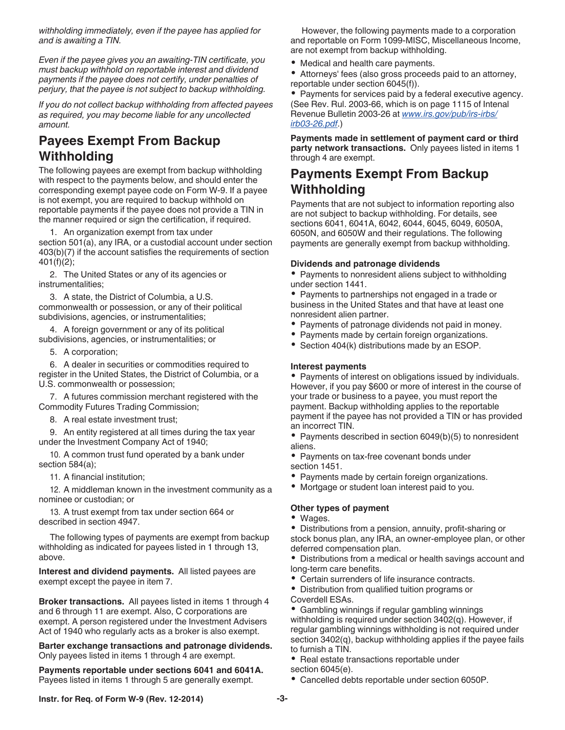*withholding immediately, even if the payee has applied for and is awaiting a TIN.*

*Even if the payee gives you an awaiting-TIN certificate, you must backup withhold on reportable interest and dividend payments if the payee does not certify, under penalties of perjury, that the payee is not subject to backup withholding.*

*If you do not collect backup withholding from affected payees as required, you may become liable for any uncollected amount.*

# **Payees Exempt From Backup Withholding**

The following payees are exempt from backup withholding with respect to the payments below, and should enter the corresponding exempt payee code on Form W-9. If a payee is not exempt, you are required to backup withhold on reportable payments if the payee does not provide a TIN in the manner required or sign the certification, if required.

1. An organization exempt from tax under section 501(a), any IRA, or a custodial account under section 403(b)(7) if the account satisfies the requirements of section 401(f)(2);

2. The United States or any of its agencies or instrumentalities;

3. A state, the District of Columbia, a U.S. commonwealth or possession, or any of their political subdivisions, agencies, or instrumentalities;

4. A foreign government or any of its political subdivisions, agencies, or instrumentalities; or

5. A corporation;

6. A dealer in securities or commodities required to register in the United States, the District of Columbia, or a U.S. commonwealth or possession;

7. A futures commission merchant registered with the Commodity Futures Trading Commission;

8. A real estate investment trust;

9. An entity registered at all times during the tax year under the Investment Company Act of 1940;

10. A common trust fund operated by a bank under section 584(a);

11. A financial institution;

12. A middleman known in the investment community as a nominee or custodian; or

13. A trust exempt from tax under section 664 or described in section 4947.

The following types of payments are exempt from backup withholding as indicated for payees listed in 1 through 13, above.

**Interest and dividend payments.** All listed payees are exempt except the payee in item 7.

**Broker transactions.** All payees listed in items 1 through 4 and 6 through 11 are exempt. Also, C corporations are exempt. A person registered under the Investment Advisers Act of 1940 who regularly acts as a broker is also exempt.

**Barter exchange transactions and patronage dividends.**  Only payees listed in items 1 through 4 are exempt.

**Payments reportable under sections 6041 and 6041A.**  Payees listed in items 1 through 5 are generally exempt.

However, the following payments made to a corporation and reportable on Form 1099-MISC, Miscellaneous Income, are not exempt from backup withholding.

Medical and health care payments.

Attorneys' fees (also gross proceeds paid to an attorney, reportable under section 6045(f)).

• Payments for services paid by a federal executive agency. (See Rev. Rul. 2003-66, which is on page 1115 of Intenal Revenue Bulletin 2003-26 at *[www.irs.gov/pub/irs-irbs/](http://www.irs.gov/pub/irs-irbs/irb03-26.pdf) [irb03-26.pdf](http://www.irs.gov/pub/irs-irbs/irb03-26.pdf)*.)

**Payments made in settlement of payment card or third party network transactions.** Only payees listed in items 1 through 4 are exempt.

### **Payments Exempt From Backup Withholding**

Payments that are not subject to information reporting also are not subject to backup withholding. For details, see sections 6041, 6041A, 6042, 6044, 6045, 6049, 6050A, 6050N, and 6050W and their regulations. The following payments are generally exempt from backup withholding.

#### **Dividends and patronage dividends**

• Payments to nonresident aliens subject to withholding under section 1441.

• Payments to partnerships not engaged in a trade or business in the United States and that have at least one nonresident alien partner.

- Payments of patronage dividends not paid in money.
- Payments made by certain foreign organizations.
- Section 404(k) distributions made by an ESOP.

#### **Interest payments**

• Payments of interest on obligations issued by individuals. However, if you pay \$600 or more of interest in the course of your trade or business to a payee, you must report the payment. Backup withholding applies to the reportable payment if the payee has not provided a TIN or has provided an incorrect TIN.

• Payments described in section 6049(b)(5) to nonresident aliens.

• Payments on tax-free covenant bonds under section 1451.

- Payments made by certain foreign organizations.
- Mortgage or student loan interest paid to you.

#### **Other types of payment**

Wages.

Distributions from a pension, annuity, profit-sharing or stock bonus plan, any IRA, an owner-employee plan, or other deferred compensation plan.

Distributions from a medical or health savings account and long-term care benefits.

Certain surrenders of life insurance contracts.

Distribution from qualified tuition programs or Coverdell ESAs.

Gambling winnings if regular gambling winnings withholding is required under section 3402(q). However, if regular gambling winnings withholding is not required under section 3402(q), backup withholding applies if the payee fails to furnish a TIN.

• Real estate transactions reportable under section 6045(e).

Cancelled debts reportable under section 6050P.